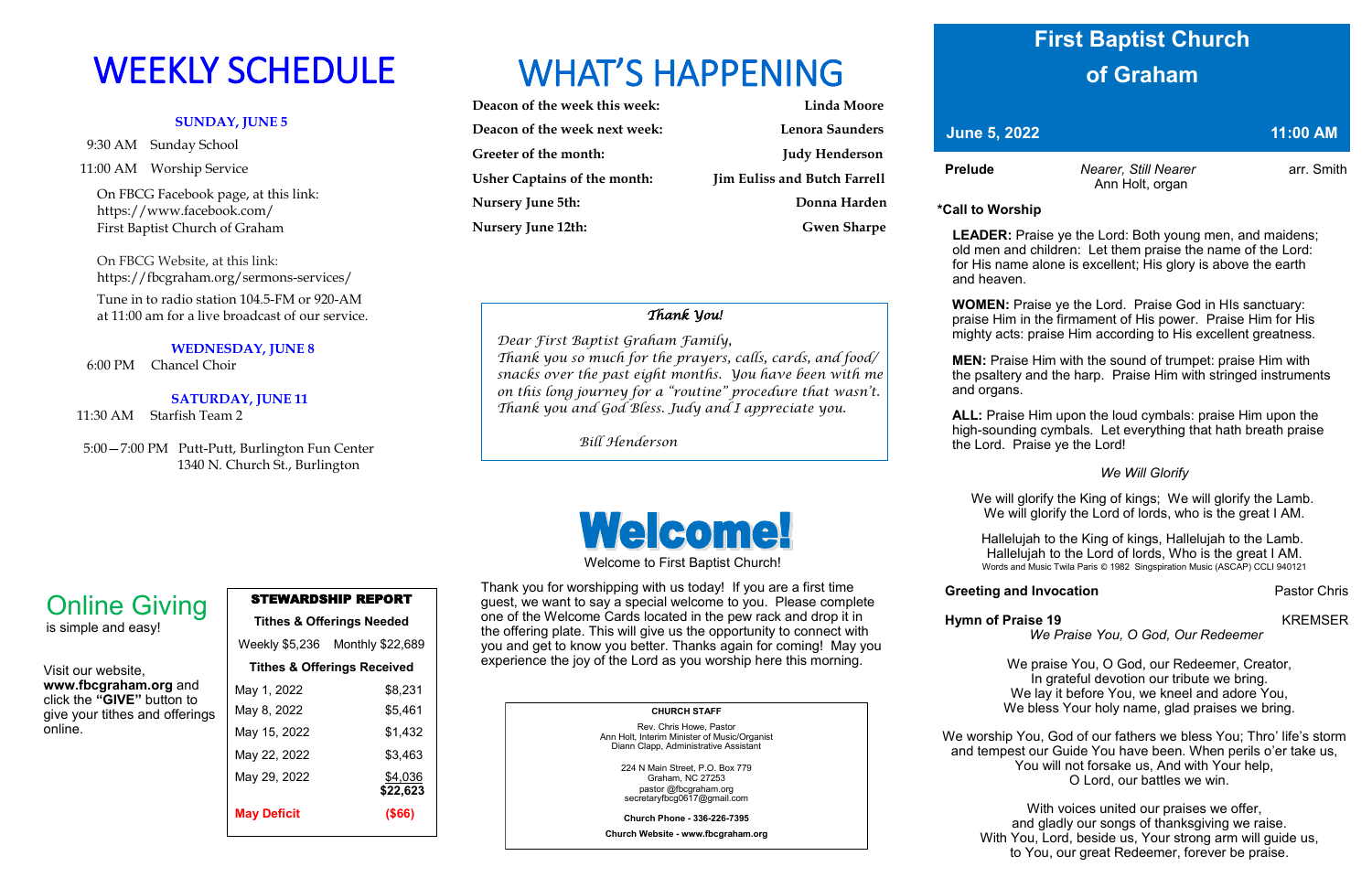### **SUNDAY, JUNE 5**

9:30 AM Sunday School

11:00 AM Worship Service

 On FBCG Facebook page, at this link: [https://www.facebook.com/](https://www.facebook.com/First%20Baptist%20Church%20of%20Graham)  [First Baptist Church of Graham](https://www.facebook.com/First%20Baptist%20Church%20of%20Graham)

 On FBCG Website, at this link: <https://fbcgraham.org/sermons-services/> Tune in to radio station 104.5-FM or 920-AM at 11:00 am for a live broadcast of our service.

### **WEDNESDAY, JUNE 8**

6:00 PM Chancel Choir

### **SATURDAY, JUNE 11**

11:30 AM Starfish Team 2

 5:00—7:00 PM Putt-Putt, Burlington Fun Center 1340 N. Church St., Burlington

# WEEKLY SCHEDULE WHAT'S HAPPENING

| Deacon of the week this week:       | <b>Linda Moore</b>                  |
|-------------------------------------|-------------------------------------|
| Deacon of the week next week:       | <b>Lenora Saunders</b>              |
| Greeter of the month:               | <b>Judy Henderson</b>               |
| <b>Usher Captains of the month:</b> | <b>Jim Euliss and Butch Farrell</b> |
| <b>Nursery June 5th:</b>            | Donna Harden                        |
| <b>Nursery June 12th:</b>           | <b>Gwen Sharpe</b>                  |

**Prelude** *Nearer, Still Nearer nearer* **arr.** Smith Ann Holt, organ

### STEWARDSHIP REPORT **Tithes & Offerings Needed**

| Weekly \$5,236 Monthly \$22,689        |
|----------------------------------------|
|                                        |
| <b>Tithes &amp; Offerings Received</b> |
| \$8,231                                |
| \$5,461                                |
| \$1,432                                |
| \$3,463                                |
| \$4,036                                |
| \$22,623                               |
| $($ \$66)                              |
|                                        |

Visit our website, **www.fbcgraham.org** and click the **"GIVE"** button to give your tithes and offerings online.

# Online Giving

is simple and easy!

### **CHURCH STAFF**

Rev. Chris Howe, Pastor Ann Holt, Interim Minister of Music/Organist Diann Clapp, Administrative Assistant

> 224 N Main Street, P.O. Box 779 Graham, NC 27253 pastor @fbcgraham.org secretaryfbcg0617@gmail.com

**Church Phone - 336-226-7395**

**Church Website - www.fbcgraham.org**

**\*Call to Worship** 

 **LEADER:** Praise ye the Lord: Both young men, and maidens; old men and children: Let them praise the name of the Lord: for His name alone is excellent; His glory is above the earth and heaven.

**WOMEN:** Praise ye the Lord. Praise God in HIs sanctuary: praise Him in the firmament of His power. Praise Him for His mighty acts: praise Him according to His excellent greatness.

**MEN:** Praise Him with the sound of trumpet: praise Him with the psaltery and the harp. Praise Him with stringed instruments

and organs.

**ALL:** Praise Him upon the loud cymbals: praise Him upon the high-sounding cymbals. Let everything that hath breath praise the Lord. Praise ye the Lord!

### *We Will Glorify*

We will glorify the King of kings; We will glorify the Lamb. We will glorify the Lord of lords, who is the great I AM.

Hallelujah to the King of kings, Hallelujah to the Lamb. Hallelujah to the Lord of lords, Who is the great I AM. Words and Music Twila Paris © 1982 Singspiration Music (ASCAP) CCLI 940121

### **Greeting and Invocation Pastor Chris**

### *We Praise You, O God, Our Redeemer*

We praise You, O God, our Redeemer, Creator, In grateful devotion our tribute we bring. We lay it before You, we kneel and adore You, We bless Your holy name, glad praises we bring.

We worship You, God of our fathers we bless You; Thro' life's storm and tempest our Guide You have been. When perils o'er take us, You will not forsake us, And with Your help, O Lord, our battles we win.

With voices united our praises we offer, and gladly our songs of thanksgiving we raise. With You, Lord, beside us, Your strong arm will guide us, to You, our great Redeemer, forever be praise.

**Hymn of Praise 19** KREMSER

Welcome to First Baptist Church!

Thank you for worshipping with us today! If you are a first time guest, we want to say a special welcome to you. Please complete one of the Welcome Cards located in the pew rack and drop it in the offering plate. This will give us the opportunity to connect with you and get to know you better. Thanks again for coming! May you experience the joy of the Lord as you worship here this morning.

## **First Baptist Church of Graham**

*<u>June 5, 2022</u>* **11:00 AM** 

### *Thank You!*

 *Dear First Baptist Graham Family, Thank you so much for the prayers, calls, cards, and food/ snacks over the past eight months. You have been with me on this long journey for a "routine" procedure that wasn't. Thank you and God Bless. Judy and I appreciate you.*

 *Bill Henderson*